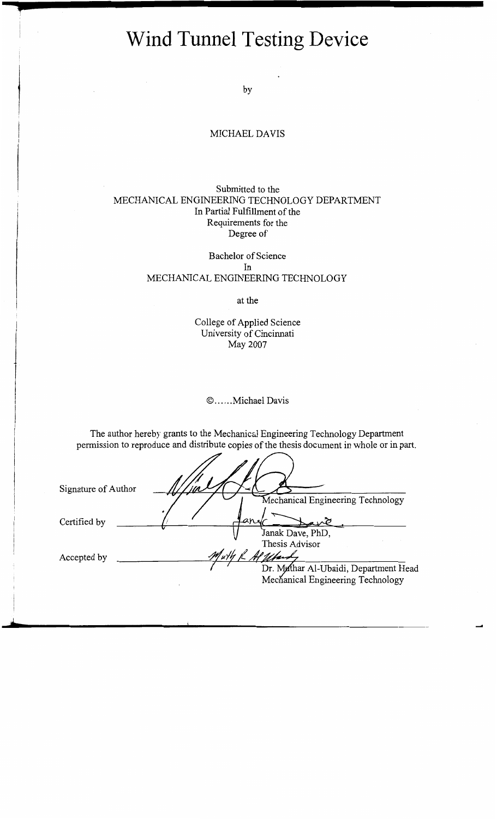# **Wind Tunnel Testing Device**

by

### MICHAEL DAVIS

#### Submitted to the MECHANICAL ENGINEERING TECHNOLOGY DEPARTMENT In Partial Fulfillment of the Requirements for the Degree of

Bachelor of Science In MECHANICAL ENGINEERING TECHNOLOGY

at the

College of Applied Science University of Cincinnati May 2007

© ...... Michael Davis

The author hereby grants to the Mechanical Engineering Technology Department permission to reproduce and distribute copies of the thesis document in whole or in part.

| Signature of Author |                                       |
|---------------------|---------------------------------------|
|                     | Mechanical Engineering Technology     |
| Certified by        | an.                                   |
|                     | Janak Dave, PhD,                      |
|                     | Thesis Advisor                        |
| Accepted by         |                                       |
|                     | Dr. Muthar Al-Ubaidi, Department Head |
|                     | Mechanical Engineering Technology     |
|                     |                                       |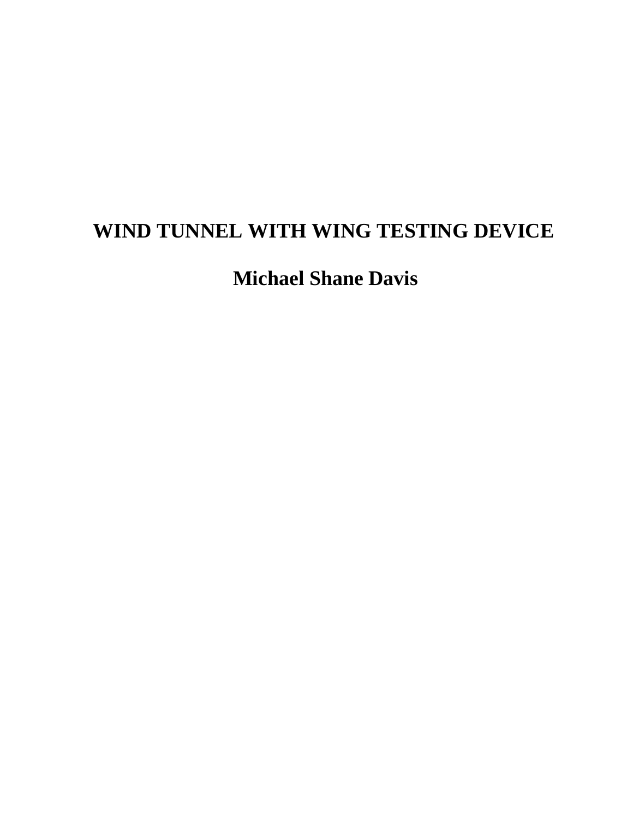# **WIND TUNNEL WITH WING TESTING DEVICE**

**Michael Shane Davis**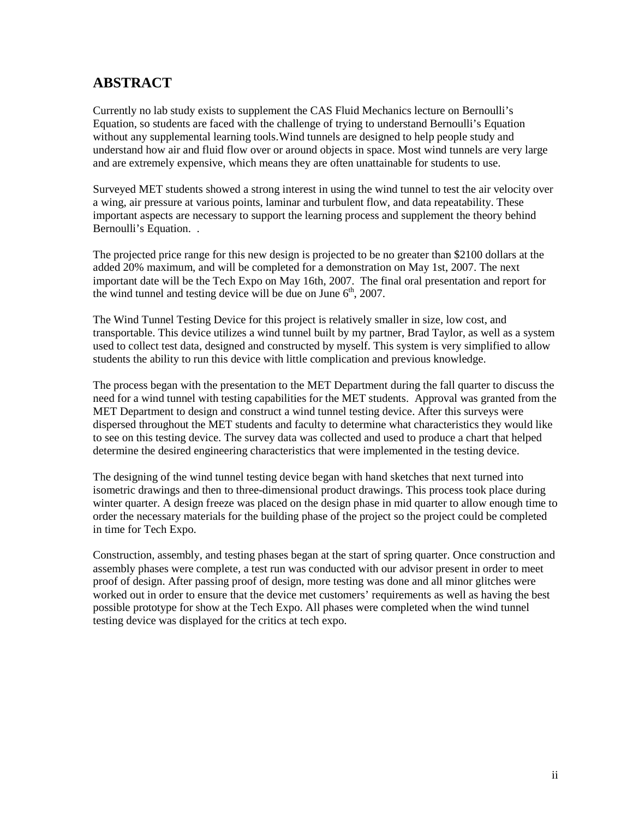### **ABSTRACT**

Currently no lab study exists to supplement the CAS Fluid Mechanics lecture on Bernoulli's Equation, so students are faced with the challenge of trying to understand Bernoulli's Equation without any supplemental learning tools.Wind tunnels are designed to help people study and understand how air and fluid flow over or around objects in space. Most wind tunnels are very large and are extremely expensive, which means they are often unattainable for students to use.

Surveyed MET students showed a strong interest in using the wind tunnel to test the air velocity over a wing, air pressure at various points, laminar and turbulent flow, and data repeatability. These important aspects are necessary to support the learning process and supplement the theory behind Bernoulli's Equation. .

The projected price range for this new design is projected to be no greater than \$2100 dollars at the added 20% maximum, and will be completed for a demonstration on May 1st, 2007. The next important date will be the Tech Expo on May 16th, 2007. The final oral presentation and report for the wind tunnel and testing device will be due on June  $6<sup>th</sup>$ , 2007.

The Wind Tunnel Testing Device for this project is relatively smaller in size, low cost, and transportable. This device utilizes a wind tunnel built by my partner, Brad Taylor, as well as a system used to collect test data, designed and constructed by myself. This system is very simplified to allow students the ability to run this device with little complication and previous knowledge.

The process began with the presentation to the MET Department during the fall quarter to discuss the need for a wind tunnel with testing capabilities for the MET students. Approval was granted from the MET Department to design and construct a wind tunnel testing device. After this surveys were dispersed throughout the MET students and faculty to determine what characteristics they would like to see on this testing device. The survey data was collected and used to produce a chart that helped determine the desired engineering characteristics that were implemented in the testing device.

The designing of the wind tunnel testing device began with hand sketches that next turned into isometric drawings and then to three-dimensional product drawings. This process took place during winter quarter. A design freeze was placed on the design phase in mid quarter to allow enough time to order the necessary materials for the building phase of the project so the project could be completed in time for Tech Expo.

Construction, assembly, and testing phases began at the start of spring quarter. Once construction and assembly phases were complete, a test run was conducted with our advisor present in order to meet proof of design. After passing proof of design, more testing was done and all minor glitches were worked out in order to ensure that the device met customers' requirements as well as having the best possible prototype for show at the Tech Expo. All phases were completed when the wind tunnel testing device was displayed for the critics at tech expo.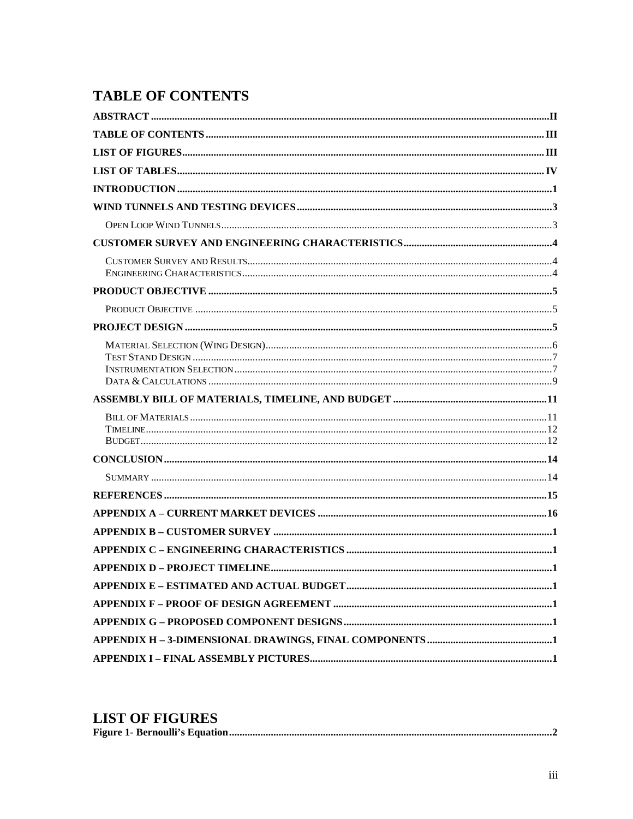# **TABLE OF CONTENTS**

### **LIST OF FIGURES**

|--|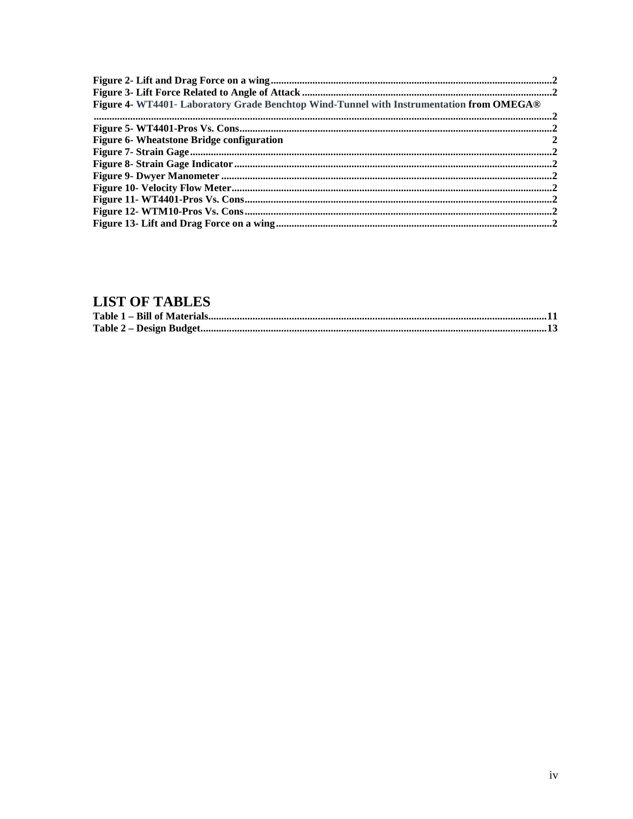| Figure 4- WT4401- Laboratory Grade Benchtop Wind-Tunnel with Instrumentation from OMEGA® |  |
|------------------------------------------------------------------------------------------|--|
|                                                                                          |  |
|                                                                                          |  |
| Figure 6- Wheatstone Bridge configuration                                                |  |
|                                                                                          |  |
|                                                                                          |  |
|                                                                                          |  |
|                                                                                          |  |
|                                                                                          |  |
|                                                                                          |  |
|                                                                                          |  |

# **LIST OF TABLES**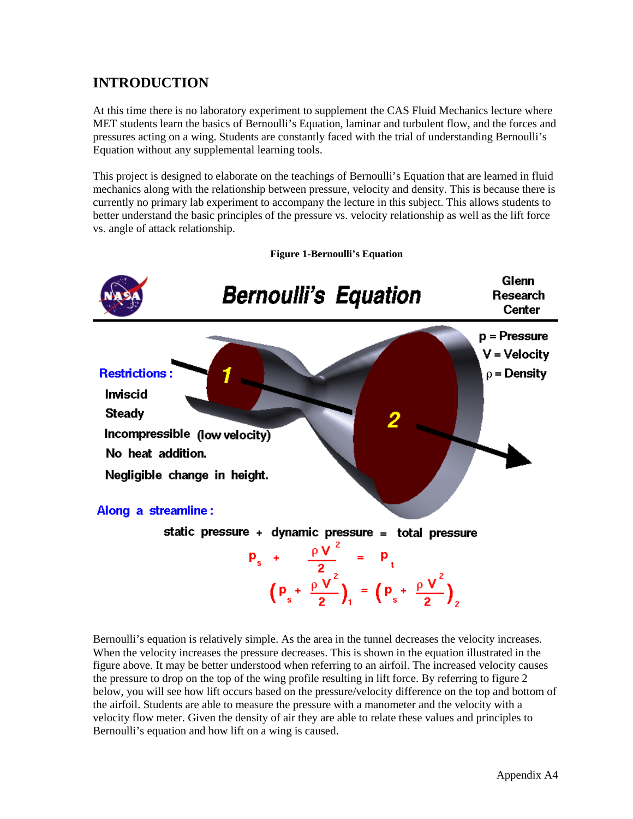# **INTRODUCTION**

At this time there is no laboratory experiment to supplement the CAS Fluid Mechanics lecture where MET students learn the basics of Bernoulli's Equation, laminar and turbulent flow, and the forces and pressures acting on a wing. Students are constantly faced with the trial of understanding Bernoulli's Equation without any supplemental learning tools.

This project is designed to elaborate on the teachings of Bernoulli's Equation that are learned in fluid mechanics along with the relationship between pressure, velocity and density. This is because there is currently no primary lab experiment to accompany the lecture in this subject. This allows students to better understand the basic principles of the pressure vs. velocity relationship as well as the lift force vs. angle of attack relationship.



**Figure 1-Bernoulli's Equation**

Bernoulli's equation is relatively simple. As the area in the tunnel decreases the velocity increases. When the velocity increases the pressure decreases. This is shown in the equation illustrated in the figure above. It may be better understood when referring to an airfoil. The increased velocity causes the pressure to drop on the top of the wing profile resulting in lift force. By referring to figure 2 below, you will see how lift occurs based on the pressure/velocity difference on the top and bottom of the airfoil. Students are able to measure the pressure with a manometer and the velocity with a velocity flow meter. Given the density of air they are able to relate these values and principles to Bernoulli's equation and how lift on a wing is caused.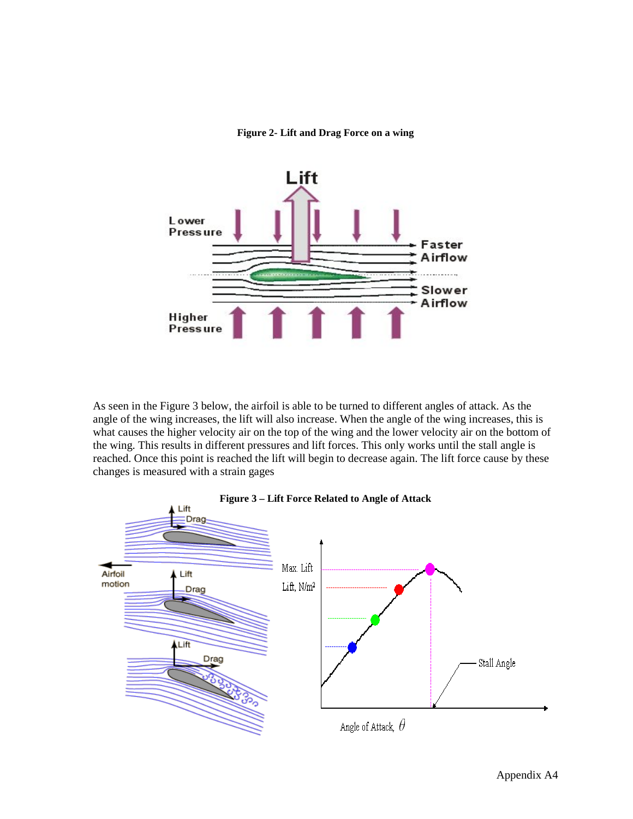**Figure 2- Lift and Drag Force on a wing**

<span id="page-6-0"></span>

As seen in the Figure 3 below, the airfoil is able to be turned to different angles of attack. As the angle of the wing increases, the lift will also increase. When the angle of the wing increases, this is what causes the higher velocity air on the top of the wing and the lower velocity air on the bottom of the wing. This results in different pressures and lift forces. This only works until the stall angle is reached. Once this point is reached the lift will begin to decrease again. The lift force cause by these changes is measured with a strain gages

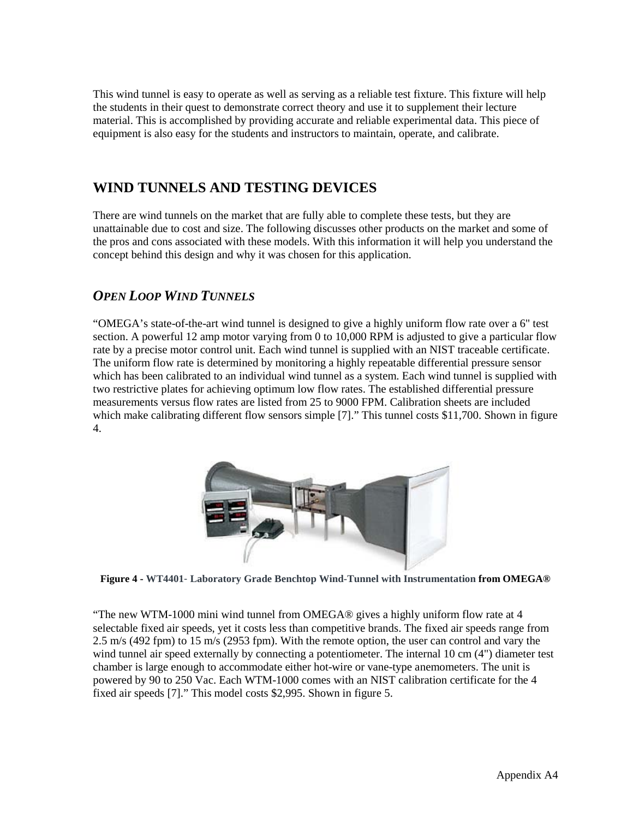This wind tunnel is easy to operate as well as serving as a reliable test fixture. This fixture will help the students in their quest to demonstrate correct theory and use it to supplement their lecture material. This is accomplished by providing accurate and reliable experimental data. This piece of equipment is also easy for the students and instructors to maintain, operate, and calibrate.

### **WIND TUNNELS AND TESTING DEVICES**

There are wind tunnels on the market that are fully able to complete these tests, but they are unattainable due to cost and size. The following discusses other products on the market and some of the pros and cons associated with these models. With this information it will help you understand the concept behind this design and why it was chosen for this application.

### *OPEN LOOP WIND TUNNELS*

"OMEGA's state-of-the-art wind tunnel is designed to give a highly uniform flow rate over a 6" test section. A powerful 12 amp motor varying from 0 to 10,000 RPM is adjusted to give a particular flow rate by a precise motor control unit. Each wind tunnel is supplied with an NIST traceable certificate. The uniform flow rate is determined by monitoring a highly repeatable differential pressure sensor which has been calibrated to an individual wind tunnel as a system. Each wind tunnel is supplied with two restrictive plates for achieving optimum low flow rates. The established differential pressure measurements versus flow rates are listed from 25 to 9000 FPM. Calibration sheets are included which make calibrating different flow sensors simple [7]." This tunnel costs \$11,700. Shown in figure 4.



**Figure 4 - WT4401**- **Laboratory Grade Benchtop Wind-Tunnel with Instrumentation from OMEGA®**

"The new WTM-1000 mini wind tunnel from OMEGA® gives a highly uniform flow rate at 4 selectable fixed air speeds, yet it costs less than competitive brands. The fixed air speeds range from 2.5 m/s (492 fpm) to 15 m/s (2953 fpm). With the remote option, the user can control and vary the wind tunnel air speed externally by connecting a potentiometer. The internal 10 cm (4") diameter test chamber is large enough to accommodate either hot-wire or vane-type anemometers. The unit is powered by 90 to 250 Vac. Each WTM-1000 comes with an NIST calibration certificate for the 4 fixed air speeds [7]." This model costs \$2,995. Shown in figure 5.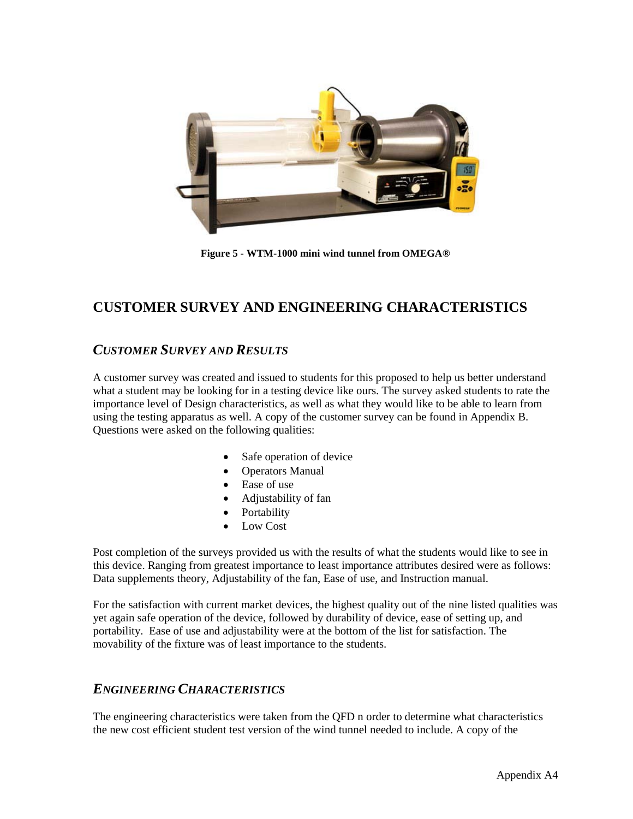

**Figure 5 - WTM-1000 mini wind tunnel from OMEGA®**

## **CUSTOMER SURVEY AND ENGINEERING CHARACTERISTICS**

### *CUSTOMER SURVEY AND RESULTS*

A customer survey was created and issued to students for this proposed to help us better understand what a student may be looking for in a testing device like ours. The survey asked students to rate the importance level of Design characteristics, as well as what they would like to be able to learn from using the testing apparatus as well. A copy of the customer survey can be found in Appendix B. Questions were asked on the following qualities:

- Safe operation of device
- Operators Manual
- Ease of use
- Adjustability of fan
- **Portability**
- Low Cost

Post completion of the surveys provided us with the results of what the students would like to see in this device. Ranging from greatest importance to least importance attributes desired were as follows: Data supplements theory, Adjustability of the fan, Ease of use, and Instruction manual.

For the satisfaction with current market devices, the highest quality out of the nine listed qualities was yet again safe operation of the device, followed by durability of device, ease of setting up, and portability. Ease of use and adjustability were at the bottom of the list for satisfaction. The movability of the fixture was of least importance to the students.

#### *ENGINEERING CHARACTERISTICS*

The engineering characteristics were taken from the QFD n order to determine what characteristics the new cost efficient student test version of the wind tunnel needed to include. A copy of the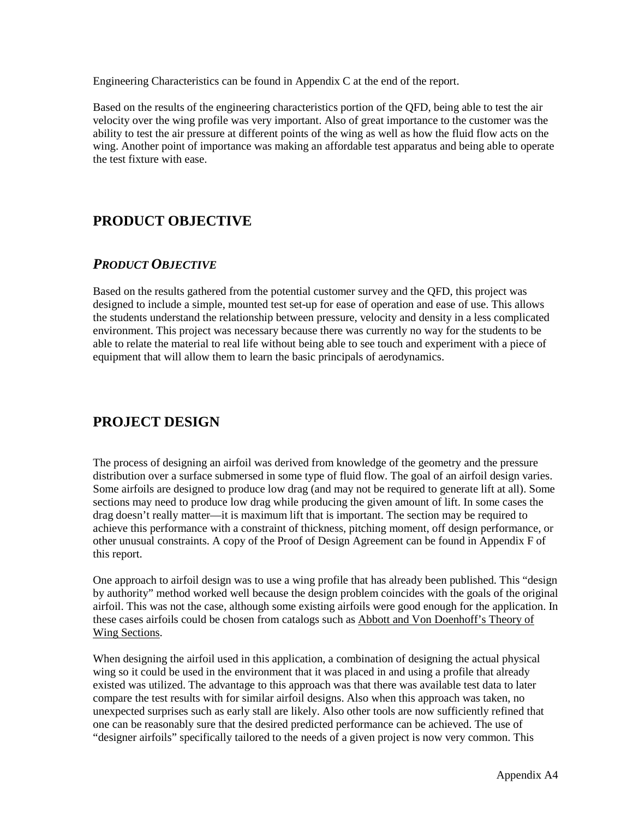Engineering Characteristics can be found in Appendix C at the end of the report.

Based on the results of the engineering characteristics portion of the QFD, being able to test the air velocity over the wing profile was very important. Also of great importance to the customer was the ability to test the air pressure at different points of the wing as well as how the fluid flow acts on the wing. Another point of importance was making an affordable test apparatus and being able to operate the test fixture with ease.

## **PRODUCT OBJECTIVE**

### *PRODUCT OBJECTIVE*

Based on the results gathered from the potential customer survey and the QFD, this project was designed to include a simple, mounted test set-up for ease of operation and ease of use. This allows the students understand the relationship between pressure, velocity and density in a less complicated environment. This project was necessary because there was currently no way for the students to be able to relate the material to real life without being able to see touch and experiment with a piece of equipment that will allow them to learn the basic principals of aerodynamics.

## **PROJECT DESIGN**

The process of designing an airfoil was derived from knowledge of the geometry and the pressure distribution over a surface submersed in some type of fluid flow. The goal of an airfoil design varies. Some airfoils are designed to produce low drag (and may not be required to generate lift at all). Some sections may need to produce low drag while producing the given amount of lift. In some cases the drag doesn't really matter—it is maximum lift that is important. The section may be required to achieve this performance with a constraint of thickness, pitching moment, off design performance, or other unusual constraints. A copy of the Proof of Design Agreement can be found in Appendix F of this report.

One approach to airfoil design was to use a wing profile that has already been published. This "design by authority" method worked well because the design problem coincides with the goals of the original airfoil. This was not the case, although some existing airfoils were good enough for the application. In these cases airfoils could be chosen from catalogs such as Abbott and Von Doenhoff's Theory of Wing Sections .

When designing the airfoil used in this application, a combination of designing the actual physical wing so it could be used in the environment that it was placed in and using a profile that already existed was utilized. The advantage to this approach was that there was available test data to later compare the test results with for similar airfoil designs. Also when this approach was taken, no unexpected surprises such as early stall are likely. Also other tools are now sufficiently refined that one can be reasonably sure that the desired predicted performance can be achieved. The use of "designer airfoils" specifically tailored to the needs of a given project is now very common. This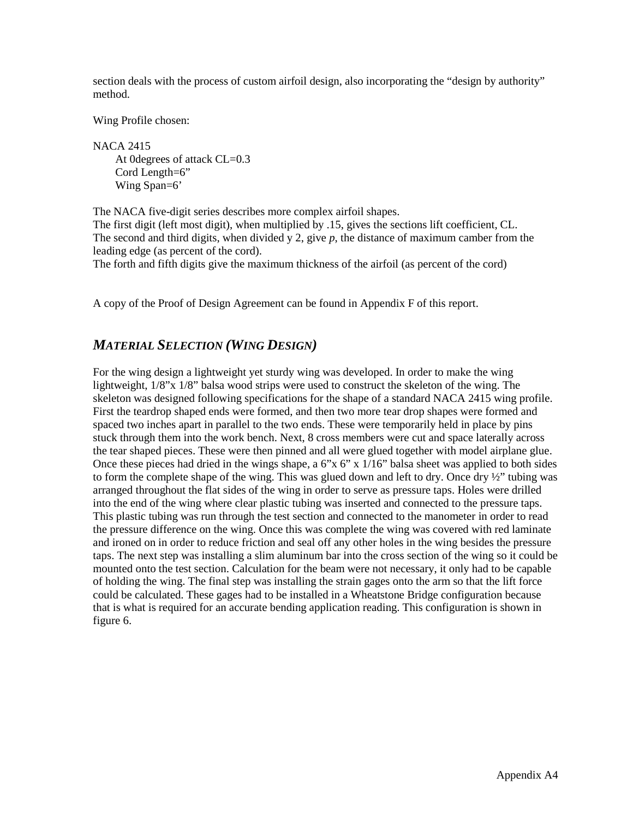section deals with the process of custom airfoil design, also incorporating the "design by authority" method.

Wing Profile chosen:

NACA 2415 At 0 degrees of attack CL=0.3 Cord Length=6" Wing Span=6'

The NACA five-digit series describes more complex airfoil shapes. The first digit (left most digit), when multiplied by .15, gives the sections lift coefficient, CL. The second and third digits, when divided y 2, give *p*, the distance of maximum camber from the leading edge (as percent of the cord).

The forth and fifth digits give the maximum thickness of the airfoil (as percent of the cord)

A copy of the Proof of Design Agreement can be found in Appendix F of this report.

### *MATERIAL SELECTION (WING DESIGN)*

For the wing design a lightweight yet sturdy wing was developed. In order to make the wing lightweight,  $1/8$ " x  $1/8$ " balsa wood strips were used to construct the skeleton of the wing. The skeleton was designed following specifications for the shape of a standard NACA 2415 wing profile. First the teardrop shaped ends were formed, and then two more tear drop shapes were formed and spaced two inches apart in parallel to the two ends. These were temporarily held in place by pins stuck through them into the work bench. Next, 8 cross members were cut and space laterally across the tear shaped pieces. These were then pinned and all were glued together with model airplane glue. Once these pieces had dried in the wings shape, a 6"x 6" x 1/16" balsa sheet was applied to both sides to form the complete shape of the wing. This was glued down and left to dry. Once dry  $\frac{1}{2}$ " tubing was arranged throughout the flat sides of the wing in order to serve as pressure taps. Holes were drilled into the end of the wing where clear plastic tubing was inserted and connected to the pressure taps. This plastic tubing was run through the test section and connected to the manometer in order to read the pressure difference on the wing. Once this was complete the wing was covered with red laminate and ironed on in order to reduce friction and seal off any other holes in the wing besides the pressure taps. The next step was installing a slim aluminum bar into the cross section of the wing so it could be mounted onto the test section. Calculation for the beam were not necessary, it only had to be capable of holding the wing. The final step was installing the strain gages onto the arm so that the lift force could be calculated. These gages had to be installed in a Wheatstone Bridge configuration because that is what is required for an accurate bending application reading. This configuration is shown in figure 6.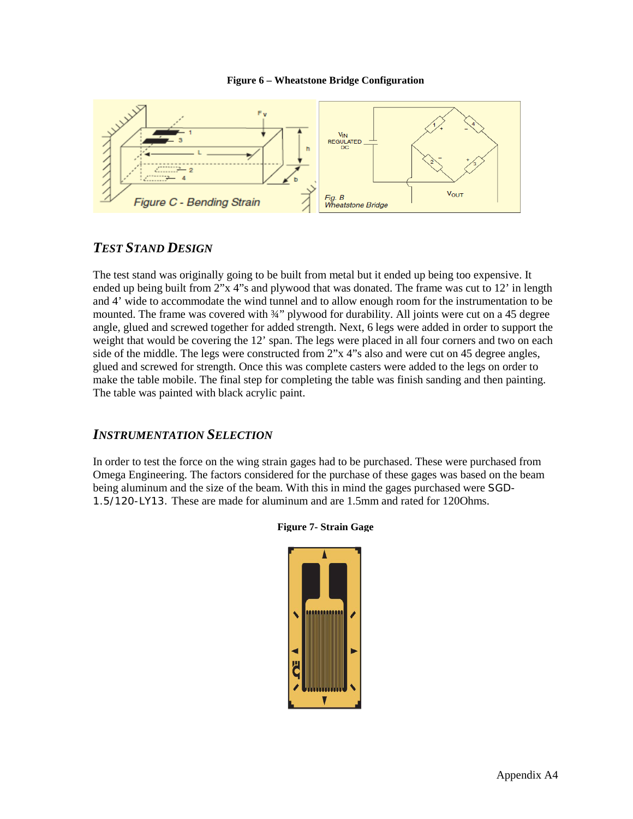#### **Figure 6 – Wheatstone Bridge Configuration**



### *TEST STAND DESIGN*

The test stand was originally going to be built from metal but it ended up being too expensive. It ended up being built from 2"x 4"s and plywood that was donated. The frame was cut to 12' in length and 4' wide to accommodate the wind tunnel and to allow enough room for the instrumentation to be mounted. The frame was covered with  $\frac{3}{4}$ " plywood for durability. All joints were cut on a 45 degree angle, glued and screwed together for added strength. Next, 6 legs were added in order to support the weight that would be covering the 12' span. The legs were placed in all four corners and two on each side of the middle. The legs were constructed from 2"x 4"s also and were cut on 45 degree angles, glued and screwed for strength. Once this was complete casters were added to the legs on order to make the table mobile. The final step for completing the table was finish sanding and then painting. The table was painted with black acrylic paint.

#### *INSTRUMENTATION SELECTION*

In order to test the force on the wing strain gages had to be purchased. These were purchased from Omega Engineering. The factors considered for the purchase of these gages was based on the beam being aluminum and the size of the beam. With this in mind the gages purchased were SGD-1.5/120-LY13. These are made for aluminum and are 1.5mm and rated for 120Ohms.



#### **Figure 7- Strain Gage**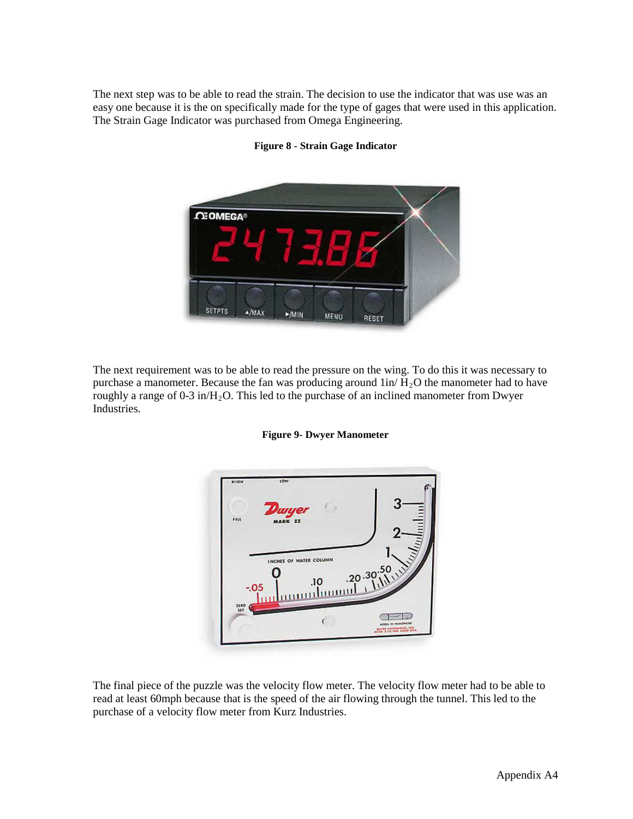The next step was to be able to read the strain. The decision to use the indicator that was use was an easy one because it is the on specifically made for the type of gages that were used in this application. The Strain Gage Indicator was purchased from Omega Engineering.



**Figure 8 - Strain Gage Indicator**

The next requirement was to be able to read the pressure on the wing. To do this it was necessary to purchase a manometer. Because the fan was producing around  $1in/H<sub>2</sub>O$  the manometer had to have roughly a range of 0-3 in/ $H_2O$ . This led to the purchase of an inclined manometer from Dwyer Industries.





The final piece of the puzzle was the velocity flow meter. The velocity flow meter had to be able to read at least 60mph because that is the speed of the air flowing through the tunnel. This led to the purchase of a velocity flow meter from Kurz Industries.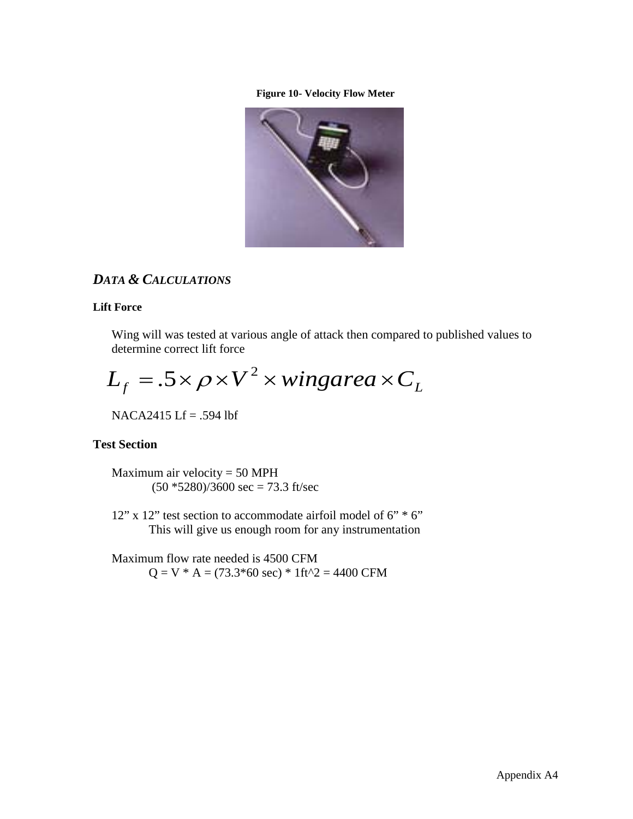#### **Figure 10- Velocity Flow Meter**



### *DATA & CALCULATIONS*

#### **Lift Force**

Wing will was tested at various angle of attack then compared to published values to determine correct lift force

$$
L_f = .5 \times \rho \times V^2 \times \text{wingarea} \times C_L
$$

NACA2415 Lf = .594 lbf

#### **Test Section**

Maximum air velocity  $= 50$  MPH  $(50 * 5280)/3600$  sec = 73.3 ft/sec

12" x 12" test section to accommodate airfoil model of 6" \* 6" This will give us enough room for any instrumentation

Maximum flow rate needed is 4500 CFM  $Q = V * A = (73.3*60 \text{ sec}) * 1 \text{ ft}^2 = 4400 \text{ CFM}$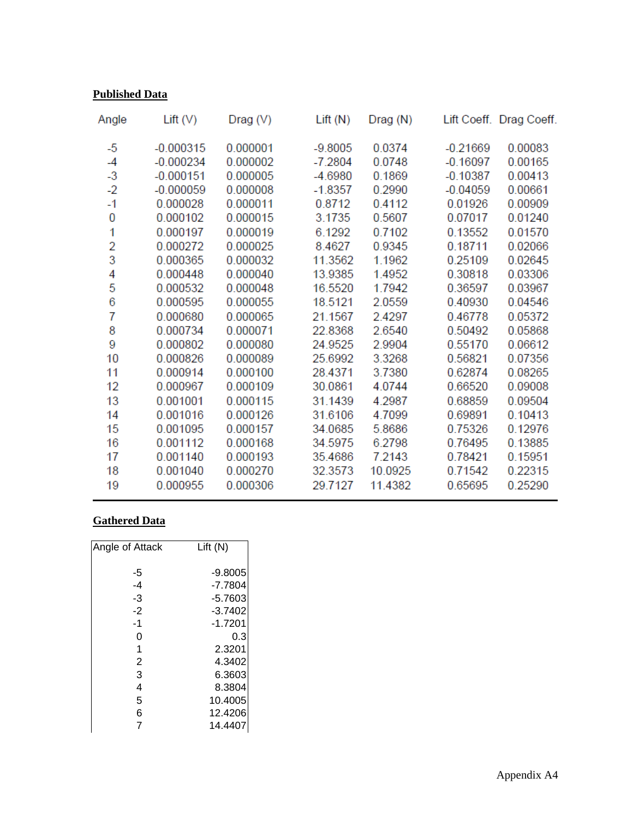### **Published Data**

| Lift $(V)$  | Diag(V)     | Lift(N)   | Drag (N)  |            | Lift Coeff. Drag Coeff. |
|-------------|-------------|-----------|-----------|------------|-------------------------|
|             |             |           |           |            | 0.00083                 |
| $-0.000234$ | 0.000002    | $-7.2804$ | 0.0748    | $-0.16097$ | 0.00165                 |
| $-0.000151$ | 0.000005    | $-4.6980$ | 0.1869    | $-0.10387$ | 0.00413                 |
| $-0.000059$ | 0.000008    | $-1.8357$ | 0.2990    | $-0.04059$ | 0.00661                 |
| 0.000028    | 0.000011    | 0.8712    | 0.4112    | 0.01926    | 0.00909                 |
| 0.000102    | 0.000015    | 3.1735    | 0.5607    | 0.07017    | 0.01240                 |
| 0.000197    | 0.000019    | 6.1292    | 0.7102    | 0.13552    | 0.01570                 |
| 0.000272    | 0.000025    | 8.4627    | 0.9345    | 0.18711    | 0.02066                 |
| 0.000365    | 0.000032    | 11.3562   | 1.1962    | 0.25109    | 0.02645                 |
| 0.000448    | 0.000040    | 13.9385   | 1.4952    | 0.30818    | 0.03306                 |
| 0.000532    | 0.000048    | 16.5520   | 1.7942    | 0.36597    | 0.03967                 |
| 0.000595    | 0.000055    | 18.5121   | 2.0559    | 0.40930    | 0.04546                 |
| 0.000680    | 0.000065    | 21.1567   | 2.4297    | 0.46778    | 0.05372                 |
| 0.000734    | 0.000071    | 22.8368   | 2.6540    | 0.50492    | 0.05868                 |
| 0.000802    | 0.000080    | 24.9525   | 2.9904    | 0.55170    | 0.06612                 |
| 0.000826    | 0.000089    | 25.6992   | 3.3268    | 0.56821    | 0.07356                 |
| 0.000914    | 0.000100    | 28.4371   | 3.7380    | 0.62874    | 0.08265                 |
| 0.000967    | 0.000109    | 30.0861   | 4.0744    | 0.66520    | 0.09008                 |
| 0.001001    | 0.000115    | 31.1439   | 4.2987    | 0.68859    | 0.09504                 |
| 0.001016    | 0.000126    | 31.6106   | 4.7099    | 0.69891    | 0.10413                 |
| 0.001095    | 0.000157    | 34.0685   | 5.8686    | 0.75326    | 0.12976                 |
| 0.001112    | 0.000168    | 34.5975   | 6.2798    | 0.76495    | 0.13885                 |
| 0.001140    | 0.000193    | 35.4686   | 7.2143    | 0.78421    | 0.15951                 |
| 0.001040    | 0.000270    | 32.3573   | 10.0925   | 0.71542    | 0.22315                 |
| 0.000955    | 0.000306    | 29.7127   | 11.4382   | 0.65695    | 0.25290                 |
|             | $-0.000315$ | 0.000001  | $-9.8005$ | 0.0374     | $-0.21669$              |

### **Gathered Data**

| Angle of Attack | Lift(N)   |
|-----------------|-----------|
| -5              | $-9.8005$ |
| $-4$            | $-7.7804$ |
| $-3$            | $-5.7603$ |
| $-2$            | $-3.7402$ |
| $-1$            | $-1.7201$ |
| 0               | 0.3       |
| 1               | 2.3201    |
| 2               | 4.3402    |
| 3               | 6.3603    |
| 4               | 8.3804    |
| 5               | 10.4005   |
| 6               | 12.4206   |
| 7               | 14.4407   |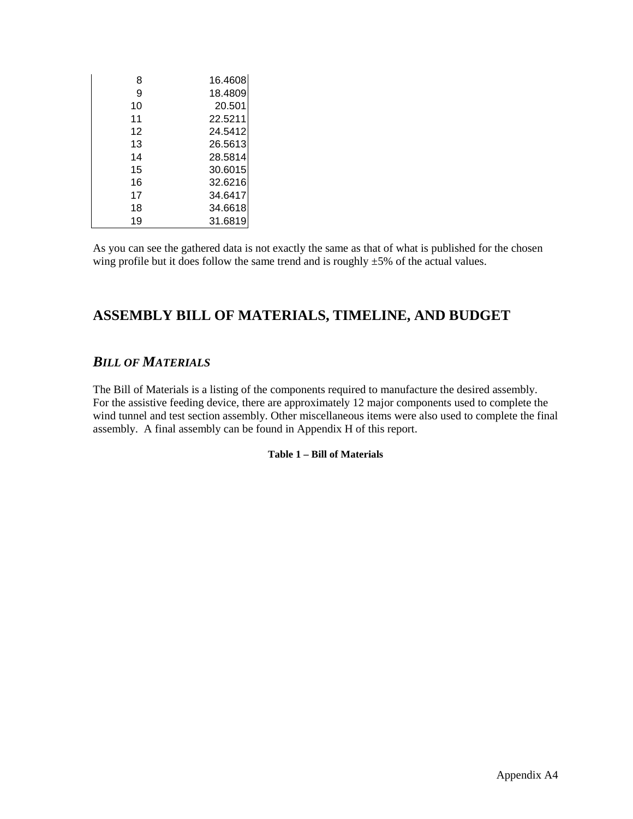| 8  | 16.4608 |
|----|---------|
| 9  | 18.4809 |
| 10 | 20.501  |
| 11 | 22.5211 |
| 12 | 24.5412 |
| 13 | 26.5613 |
| 14 | 28.5814 |
| 15 | 30.6015 |
| 16 | 32.6216 |
| 17 | 34.6417 |
| 18 | 34.6618 |
| 19 | 31.6819 |

As you can see the gathered data is not exactly the same as that of what is published for the chosen wing profile but it does follow the same trend and is roughly  $\pm 5\%$  of the actual values.

### **ASSEMBLY BILL OF MATERIALS, TIMELINE, AND BUDGET**

### *BILL OF MATERIALS*

<span id="page-15-0"></span>The Bill of Materials is a listing of the components required to manufacture the desired assembly. For the assistive feeding device, there are approximately 12 major components used to complete the wind tunnel and test section assembly. Other miscellaneous items were also used to complete the final assembly. A final assembly can be found in Appendix H of this report.

#### **Table 1 – Bill of Materials**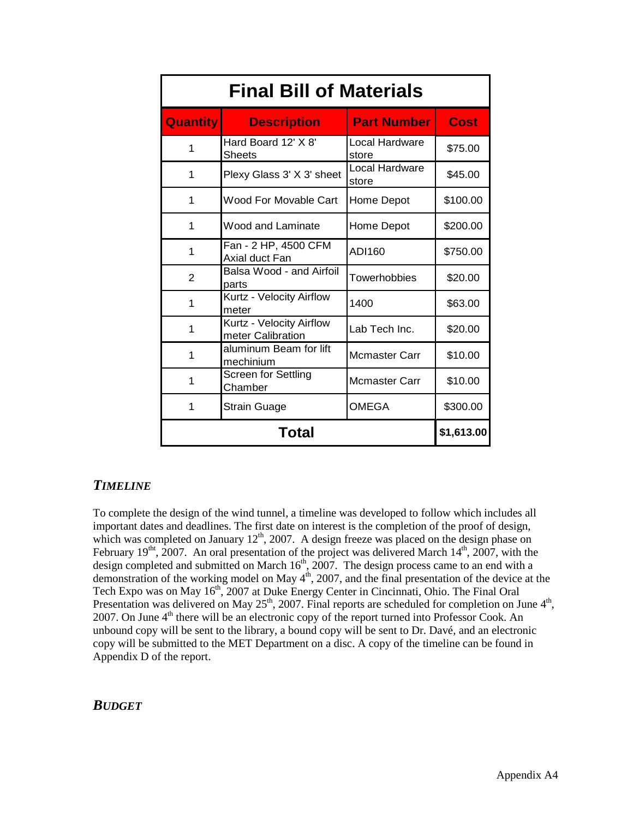| <b>Final Bill of Materials</b> |                                               |                         |             |  |  |  |  |  |
|--------------------------------|-----------------------------------------------|-------------------------|-------------|--|--|--|--|--|
| <b>Quantity</b>                | <b>Description</b>                            | <b>Part Number</b>      | <b>Cost</b> |  |  |  |  |  |
| 1                              | Hard Board 12' X 8'<br><b>Sheets</b>          | Local Hardware<br>store | \$75.00     |  |  |  |  |  |
| 1                              | Plexy Glass 3' X 3' sheet                     | Local Hardware<br>store | \$45.00     |  |  |  |  |  |
| 1                              | Wood For Movable Cart                         | Home Depot              | \$100.00    |  |  |  |  |  |
| 1                              | <b>Wood and Laminate</b>                      | Home Depot              | \$200.00    |  |  |  |  |  |
| 1                              | Fan - 2 HP, 4500 CFM<br>Axial duct Fan        | ADI160                  | \$750.00    |  |  |  |  |  |
| $\overline{2}$                 | Balsa Wood - and Airfoil<br>parts             | Towerhobbies            | \$20.00     |  |  |  |  |  |
| 1                              | Kurtz - Velocity Airflow<br>meter             | 1400                    | \$63.00     |  |  |  |  |  |
| 1                              | Kurtz - Velocity Airflow<br>meter Calibration | Lab Tech Inc.           | \$20.00     |  |  |  |  |  |
| 1                              | aluminum Beam for lift<br>mechinium           | <b>Mcmaster Carr</b>    | \$10.00     |  |  |  |  |  |
| 1                              | Screen for Settling<br>Chamber                | Mcmaster Carr           | \$10.00     |  |  |  |  |  |
| 1                              | Strain Guage                                  | <b>OMEGA</b>            | \$300.00    |  |  |  |  |  |
|                                | Total                                         |                         | \$1,613.00  |  |  |  |  |  |

#### *TIMELINE*

To complete the design of the wind tunnel, a timeline was developed to follow which includes all important dates and deadlines. The first date on interest is the completion of the proof of design, which was completed on January  $12^{th}$ , 2007. A design freeze was placed on the design phase on February 19<sup>tht</sup>, 2007. An oral presentation of the project was delivered March  $14<sup>th</sup>$ , 2007, with the design completed and submitted on March  $16<sup>th</sup>$ , 2007. The design process came to an end with a demonstration of the working model on May  $4<sup>th</sup>$ , 2007, and the final presentation of the device at the Tech Expo was on May 16<sup>th</sup>, 2007 at Duke Energy Center in Cincinnati, Ohio. The Final Oral Presentation was delivered on May  $25<sup>th</sup>$ , 2007. Final reports are scheduled for completion on June  $4<sup>th</sup>$ , 2007. On June 4<sup>th</sup> there will be an electronic copy of the report turned into Professor Cook. An unbound copy will be sent to the library, a bound copy will be sent to Dr. Davé, and an electronic copy will be submitted to the MET Department on a disc. A copy of the timeline can be found in Appendix D of the report.

#### *BUDGET*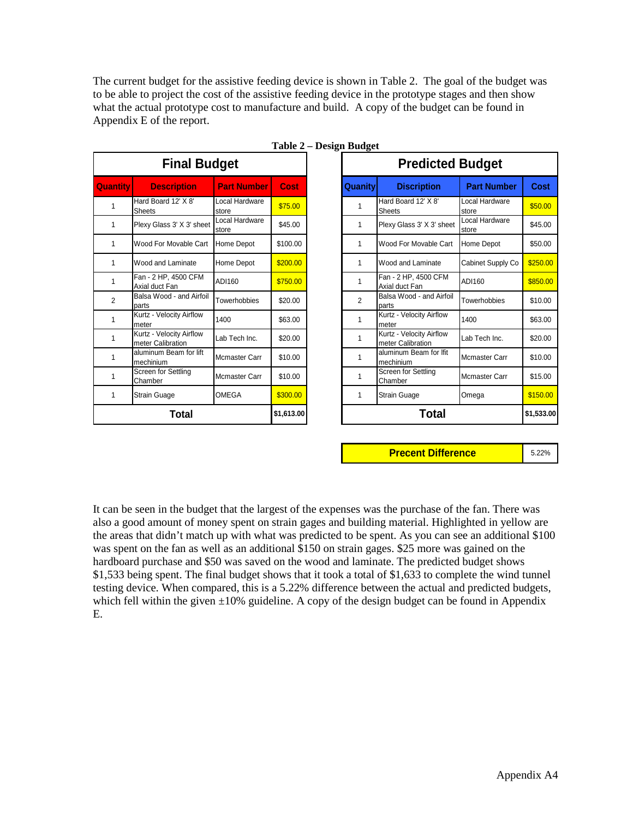The current budget for the assistive feeding device is shown in Table 2. The goal of the budget was to be able to project the cost of the assistive feeding device in the prototype stages and then show what the actual prototype cost to manufacture and build. A copy of the budget can be found in Appendix E of the report.

<span id="page-17-0"></span>

|                 | <b>Final Budget</b>                           |                         |            |                | <b>Predicted</b>                              |
|-----------------|-----------------------------------------------|-------------------------|------------|----------------|-----------------------------------------------|
| <b>Quantity</b> | <b>Description</b>                            | <b>Part Number</b>      | Cost       | <b>Quanity</b> | <b>Discription</b>                            |
| 1               | Hard Board 12' X 8'<br><b>Sheets</b>          | Local Hardware<br>store | \$75.00    | 1              | Hard Board 12' X 8'<br>Sheets                 |
| 1               | Plexy Glass 3' X 3' sheet                     | Local Hardware<br>store | \$45.00    | 1              | Plexy Glass 3' X 3' sheet                     |
| 1               | Wood For Movable Cart                         | Home Depot              | \$100.00   | 1              | Wood For Movable Cart                         |
| 1               | Wood and Laminate                             | Home Depot              | \$200.00   | 1              | Wood and Laminate                             |
| 1               | Fan - 2 HP, 4500 CFM<br>Axial duct Fan        | ADI160                  | \$750.00   | 1              | Fan - 2 HP, 4500 CFM<br>Axial duct Fan        |
| $\overline{2}$  | Balsa Wood - and Airfoil<br>parts             | Towerhobbies            | \$20.00    | 2              | Balsa Wood - and Airfoil<br>parts             |
| 1               | Kurtz - Velocity Airflow<br>meter             | 1400                    | \$63.00    | 1              | Kurtz - Velocity Airflow<br>meter             |
| 1               | Kurtz - Velocity Airflow<br>meter Calibration | Lab Tech Inc.           | \$20.00    | 1              | Kurtz - Velocity Airflow<br>meter Calibration |
| 1               | aluminum Beam for lift<br>mechinium           | Mcmaster Carr           | \$10.00    | 1              | aluminum Beam for Ifit<br>mechinium           |
| 1               | Screen for Settling<br>Chamber                | Mcmaster Carr           | \$10.00    | 1              | Screen for Settling<br>Chamber                |
| 1               | Strain Guage                                  | OMEGA                   | \$300.00   | 1              | <b>Strain Guage</b>                           |
|                 | Total                                         |                         | \$1,613.00 |                | Total                                         |

| <b>Final Budget</b> |                                               |                         |             | <b>Predicted Budget</b> |                                               |                                |             |
|---------------------|-----------------------------------------------|-------------------------|-------------|-------------------------|-----------------------------------------------|--------------------------------|-------------|
| <b>Quantity</b>     | <b>Description</b>                            | <b>Part Number</b>      | <b>Cost</b> | <b>Quanity</b>          | <b>Discription</b>                            | <b>Part Number</b>             | <b>Cost</b> |
|                     | Hard Board 12' X 8'<br><b>Sheets</b>          | Local Hardware<br>store | \$75.00     | 1                       | Hard Board 12' X 8'<br>Sheets                 | Local Hardware<br>store        | \$50.00     |
|                     | Plexy Glass 3' X 3' sheet                     | Local Hardware<br>store | \$45.00     | 1                       | Plexy Glass 3' X 3' sheet                     | Local Hardware<br><b>store</b> | \$45.00     |
|                     | Wood For Movable Cart                         | <b>Home Depot</b>       | \$100.00    | 1                       | Wood For Movable Cart                         | Home Depot                     | \$50.00     |
| 1                   | Wood and Laminate                             | Home Depot              | \$200.00    | 1                       | Wood and Laminate                             | Cabinet Supply Co              | \$250.00    |
| 1                   | Fan - 2 HP, 4500 CFM<br>Axial duct Fan        | ADI160                  | \$750.00    | 1                       | Fan - 2 HP, 4500 CFM<br>Axial duct Fan        | ADI160                         | \$850.00    |
| 2                   | Balsa Wood - and Airfoil<br>parts             | Towerhobbies            | \$20.00     | 2                       | Balsa Wood - and Airfoil<br>parts             | Towerhobbies                   | \$10.00     |
| 1                   | Kurtz - Velocity Airflow<br>meter             | 1400                    | \$63.00     | 1                       | Kurtz - Velocity Airflow<br>meter             | 1400                           | \$63.00     |
|                     | Kurtz - Velocity Airflow<br>meter Calibration | Lab Tech Inc.           | \$20.00     | 1                       | Kurtz - Velocity Airflow<br>meter Calibration | Lab Tech Inc.                  | \$20.00     |
| 1                   | aluminum Beam for lift<br>mechinium           | Mcmaster Carr           | \$10.00     | 1                       | aluminum Beam for Ifit<br>mechinium           | <b>Mcmaster Carr</b>           | \$10.00     |
| 1                   | Screen for Settling<br>Chamber                | <b>Mcmaster Carr</b>    | \$10.00     | 1                       | Screen for Settling<br>Chamber                | <b>Mcmaster Carr</b>           | \$15.00     |
| 1                   | <b>Strain Guage</b>                           | <b>OMEGA</b>            | \$300.00    | 1                       | <b>Strain Guage</b>                           | Omega                          | \$150.00    |
|                     | Total                                         |                         | \$1,613.00  |                         | <b>Total</b>                                  |                                | \$1,533.00  |

|  | Table 2 – Design Budget |  |
|--|-------------------------|--|
|  |                         |  |

**Precent Difference Manual** 5.22%

It can be seen in the budget that the largest of the expenses was the purchase of the fan. There was also a good amount of money spent on strain gages and building material. Highlighted in yellow are the areas that didn't match up with what was predicted to be spent. As you can see an additional \$100 was spent on the fan as well as an additional \$150 on strain gages. \$25 more was gained on the hardboard purchase and \$50 was saved on the wood and laminate. The predicted budget shows \$1,533 being spent. The final budget shows that it took a total of \$1,633 to complete the wind tunnel testing device. When compared, this is a 5.22% difference between the actual and predicted budgets, which fell within the given  $\pm 10\%$  guideline. A copy of the design budget can be found in Appendix E.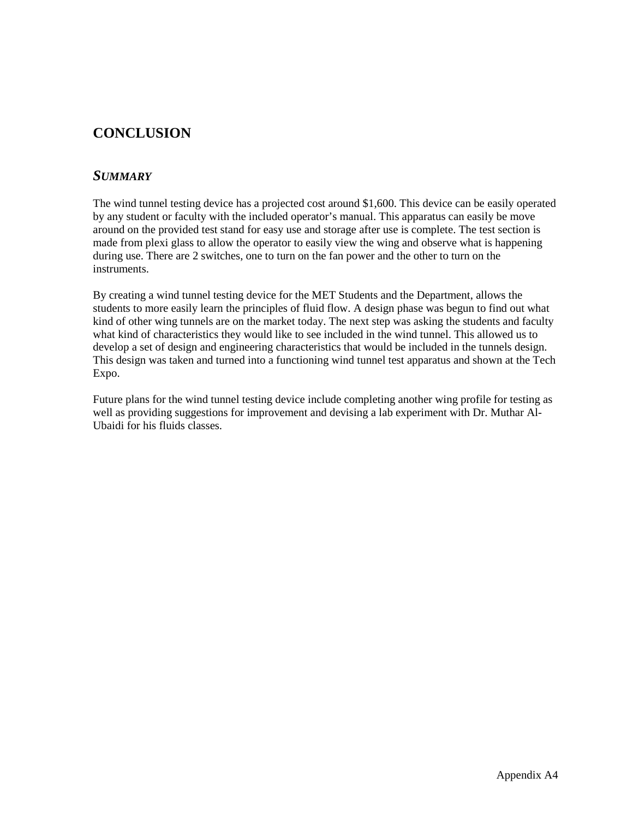# **CONCLUSION**

#### *SUMMARY*

The wind tunnel testing device has a projected cost around \$1,600. This device can be easily operated by any student or faculty with the included operator's manual. This apparatus can easily be move around on the provided test stand for easy use and storage after use is complete. The test section is made from plexi glass to allow the operator to easily view the wing and observe what is happening during use. There are 2 switches, one to turn on the fan power and the other to turn on the instruments.

By creating a wind tunnel testing device for the MET Students and the Department, allows the students to more easily learn the principles of fluid flow. A design phase was begun to find out what kind of other wing tunnels are on the market today. The next step was asking the students and faculty what kind of characteristics they would like to see included in the wind tunnel. This allowed us to develop a set of design and engineering characteristics that would be included in the tunnels design. This design was taken and turned into a functioning wind tunnel test apparatus and shown at the Tech Expo.

Future plans for the wind tunnel testing device include completing another wing profile for testing as well as providing suggestions for improvement and devising a lab experiment with Dr. Muthar Al-Ubaidi for his fluids classes.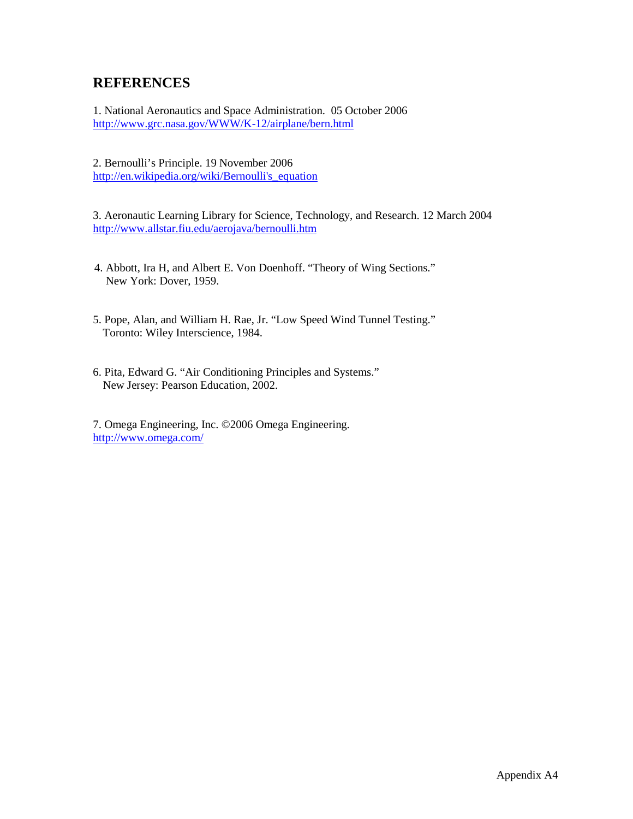### **REFERENCES**

1. National Aeronautics and Space Administration. 05 October 2006 <http://www.grc.nasa.gov/WWW/K-12/airplane/bern.html>

2. Bernoulli's Principle. 19 November 2006 [http://en.wikipedia.org/wiki/Bernoulli's\\_equation](http://en.wikipedia.org/wiki/Bernoulli)

3. Aeronautic Learning Library for Science, Technology, and Research. 12 March 2004 <http://www.allstar.fiu.edu/aerojava/bernoulli.htm>

- 4. Abbott, Ira H, and Albert E. Von Doenhoff. "Theory of Wing Sections." New York: Dover, 1959.
- 5. Pope, Alan, and William H. Rae, Jr. "Low Speed Wind Tunnel Testing." Toronto: Wiley Interscience, 1984.
- 6. Pita, Edward G. "Air Conditioning Principles and Systems." New Jersey: Pearson Education, 2002.

7. Omega Engineering, Inc. ©2006 Omega Engineering. <http://www.omega.com/>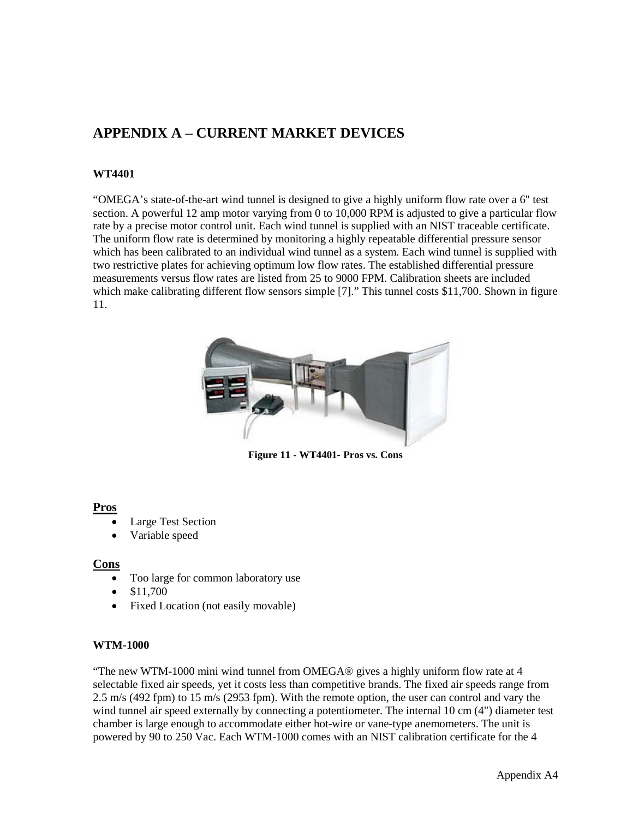# **APPENDIX A – CURRENT MARKET DEVICES**

#### **WT4401**

"OMEGA's state-of-the-art wind tunnel is designed to give a highly uniform flow rate over a 6" test section. A powerful 12 amp motor varying from 0 to 10,000 RPM is adjusted to give a particular flow rate by a precise motor control unit. Each wind tunnel is supplied with an NIST traceable certificate. The uniform flow rate is determined by monitoring a highly repeatable differential pressure sensor which has been calibrated to an individual wind tunnel as a system. Each wind tunnel is supplied with two restrictive plates for achieving optimum low flow rates. The established differential pressure measurements versus flow rates are listed from 25 to 9000 FPM. Calibration sheets are included which make calibrating different flow sensors simple [7]." This tunnel costs \$11,700. Shown in figure 11.



**Figure 11 - WT4401- Pros vs. Cons**

#### **Pros**

- Large Test Section
- Variable speed

#### **Cons**

- Too large for common laboratory use
- \$11,700
- Fixed Location (not easily movable)

#### **WTM-1000**

"The new WTM-1000 mini wind tunnel from OMEGA® gives a highly uniform flow rate at 4 selectable fixed air speeds, yet it costs less than competitive brands. The fixed air speeds range from 2.5 m/s (492 fpm) to 15 m/s (2953 fpm). With the remote option, the user can control and vary the wind tunnel air speed externally by connecting a potentiometer. The internal 10 cm (4") diameter test chamber is large enough to accommodate either hot-wire or vane-type anemometers. The unit is powered by 90 to 250 Vac. Each WTM-1000 comes with an NIST calibration certificate for the 4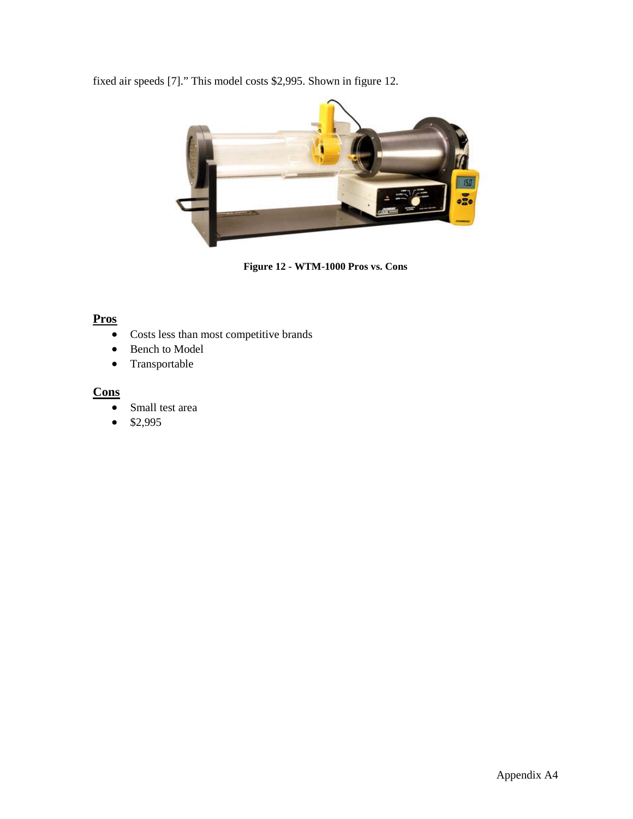fixed air speeds [7]." This model costs \$2,995. Shown in figure 12.



**Figure 12 - WTM-1000 Pros vs. Cons**

### **Pros**

- Costs less than most competitive brands
- Bench to Model
- Transportable

### **Cons**

- Small test area
- $$2,995$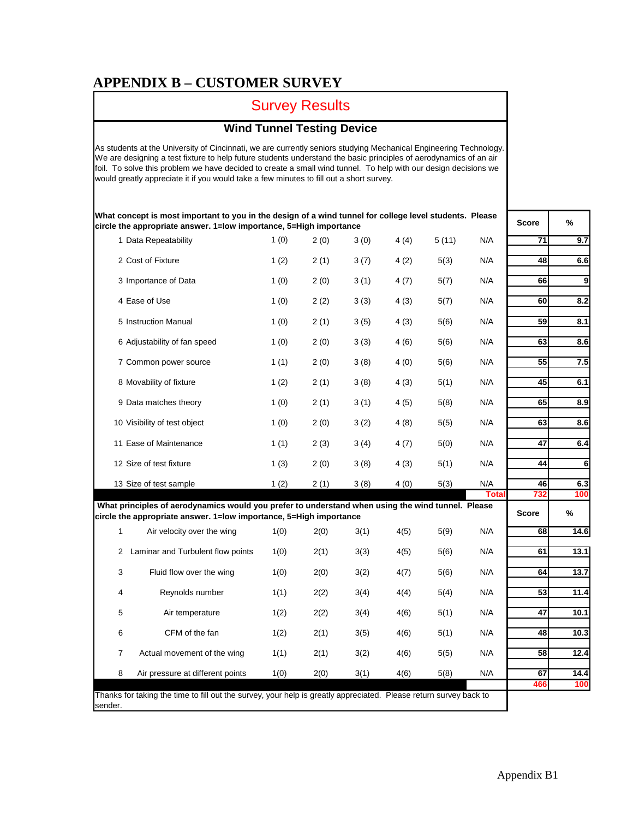## **APPENDIX B – CUSTOMER SURVEY**

# Survey Results

### **Wind Tunnel Testing Device**

As students at the University of Cincinnati, we are currently seniors studying Mechanical Engineering Technology. We are designing a test fixture to help future students understand the basic principles of aerodynamics of an air foil. To solve this problem we have decided to create a small wind tunnel. To help with our design decisions we would greatly appreciate it if you would take a few minutes to fill out a short survey.

**What concept is most important to you in the design of a wind tunnel for college level students. Please circle the appropriate answer. 1=low importance, 5=High importance**

|                | 1 Data Repeatability                                                                                                                                                    | 1(0) | 2(0) | 3(0) | 4(4) | 5(11) | N/A          | 71           | 9.7  |
|----------------|-------------------------------------------------------------------------------------------------------------------------------------------------------------------------|------|------|------|------|-------|--------------|--------------|------|
|                | 2 Cost of Fixture                                                                                                                                                       | 1(2) | 2(1) | 3(7) | 4(2) | 5(3)  | N/A          | 48           | 6.6  |
|                | 3 Importance of Data                                                                                                                                                    | 1(0) | 2(0) | 3(1) | 4(7) | 5(7)  | N/A          | 66           | 9    |
|                | 4 Ease of Use                                                                                                                                                           | 1(0) | 2(2) | 3(3) | 4(3) | 5(7)  | N/A          | 60           | 8.2  |
|                | 5 Instruction Manual                                                                                                                                                    | 1(0) | 2(1) | 3(5) | 4(3) | 5(6)  | N/A          | 59           | 8.1  |
|                | 6 Adjustability of fan speed                                                                                                                                            | 1(0) | 2(0) | 3(3) | 4(6) | 5(6)  | N/A          | 63           | 8.6  |
|                | 7 Common power source                                                                                                                                                   | 1(1) | 2(0) | 3(8) | 4(0) | 5(6)  | N/A          | 55           | 7.5  |
|                | 8 Movability of fixture                                                                                                                                                 | 1(2) | 2(1) | 3(8) | 4(3) | 5(1)  | N/A          | 45           | 6.1  |
|                | 9 Data matches theory                                                                                                                                                   | 1(0) | 2(1) | 3(1) | 4(5) | 5(8)  | N/A          | 65           | 8.9  |
|                | 10 Visibility of test object                                                                                                                                            | 1(0) | 2(0) | 3(2) | 4(8) | 5(5)  | N/A          | 63           | 8.6  |
|                | 11 Ease of Maintenance                                                                                                                                                  | 1(1) | 2(3) | 3(4) | 4(7) | 5(0)  | N/A          | 47           | 6.4  |
|                | 12 Size of test fixture                                                                                                                                                 | 1(3) | 2(0) | 3(8) | 4(3) | 5(1)  | N/A          | 44           | 6    |
|                | 13 Size of test sample                                                                                                                                                  | 1(2) | 2(1) | 3(8) | 4(0) | 5(3)  | N/A          | 46           | 6.3  |
|                |                                                                                                                                                                         |      |      |      |      |       | <b>Total</b> | 732          | 100  |
|                | What principles of aerodynamics would you prefer to understand when using the wind tunnel. Please<br>circle the appropriate answer. 1=low importance, 5=High importance |      |      |      |      |       |              | <b>Score</b> | %    |
| $\mathbf{1}$   | Air velocity over the wing                                                                                                                                              | 1(0) | 2(0) | 3(1) | 4(5) | 5(9)  | N/A          | 68           | 14.6 |
| $\overline{2}$ | Laminar and Turbulent flow points                                                                                                                                       | 1(0) | 2(1) | 3(3) | 4(5) | 5(6)  | N/A          | 61           | 13.1 |
| 3              | Fluid flow over the wing                                                                                                                                                | 1(0) | 2(0) | 3(2) | 4(7) | 5(6)  | N/A          | 64           | 13.7 |
| 4              | Reynolds number                                                                                                                                                         | 1(1) | 2(2) | 3(4) | 4(4) | 5(4)  | N/A          | 53           | 11.4 |
| 5              | Air temperature                                                                                                                                                         | 1(2) | 2(2) | 3(4) | 4(6) | 5(1)  | N/A          | 47           | 10.1 |
| 6              | CFM of the fan                                                                                                                                                          | 1(2) | 2(1) | 3(5) | 4(6) | 5(1)  | N/A          | 48           | 10.3 |
| 7              | Actual movement of the wing                                                                                                                                             | 1(1) | 2(1) | 3(2) | 4(6) | 5(5)  | N/A          | 58           | 12.4 |
| 8              | Air pressure at different points                                                                                                                                        | 1(0) | 2(0) | 3(1) | 4(6) | 5(8)  | N/A          | 67           | 14.4 |
|                |                                                                                                                                                                         |      |      |      |      |       |              | 466          | 100  |

Thanks for taking the time to fill out the survey, your help is greatly appreciated. Please return survey back to sender.

**Score %**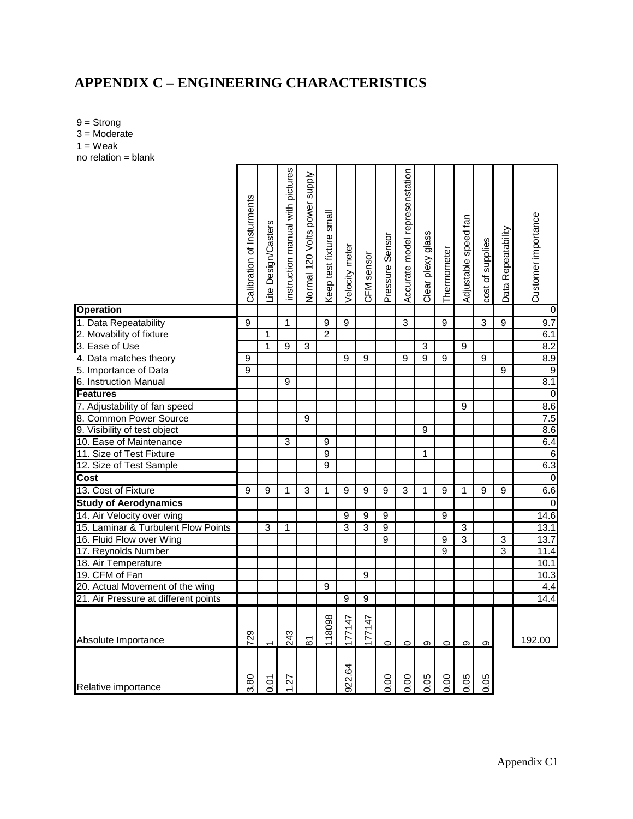# **APPENDIX C – ENGINEERING CHARACTERISTICS**

9 = Strong 3 = Moderate  $1 =$  Weak no relation = blank

|                                      | Calibration of Insturments | Lite Design/Casters | nstruction manual with pictures | Normal 120 Volts power supply | Keep test fixture small | Velocity meter         | CFM sensor | Pressure Sensor | Accurate model represenstation | Clear plexy glass | Thermometer    | Adjustable speed fan | cost of supplies | Data Repeatability | Customer importance |
|--------------------------------------|----------------------------|---------------------|---------------------------------|-------------------------------|-------------------------|------------------------|------------|-----------------|--------------------------------|-------------------|----------------|----------------------|------------------|--------------------|---------------------|
| <b>Operation</b>                     |                            |                     |                                 |                               |                         |                        |            |                 |                                |                   |                |                      |                  |                    | 0                   |
| 1. Data Repeatability                | $\overline{9}$             |                     | 1                               |                               | $\overline{9}$          | 9                      |            |                 | 3                              |                   | 9              |                      | $\overline{3}$   | 9                  | 9.7                 |
| 2. Movability of fixture             |                            | 1                   |                                 |                               | $\mathfrak{p}$          |                        |            |                 |                                |                   |                |                      |                  |                    | 6.1                 |
| 3. Ease of Use                       |                            | 1                   | 9                               | 3                             |                         |                        |            |                 |                                | $\overline{3}$    |                | 9                    |                  |                    | 8.2                 |
| 4. Data matches theory               | 9                          |                     |                                 |                               |                         | 9                      | 9          |                 | 9                              | 9                 | 9              |                      | 9                |                    | 8.9                 |
| 5. Importance of Data                | 9                          |                     |                                 |                               |                         |                        |            |                 |                                |                   |                |                      |                  | 9                  | $\overline{9}$      |
| 6. Instruction Manual                |                            |                     | 9                               |                               |                         |                        |            |                 |                                |                   |                |                      |                  |                    | 8.1                 |
| <b>Features</b>                      |                            |                     |                                 |                               |                         |                        |            |                 |                                |                   |                |                      |                  |                    | $\overline{0}$      |
| 7. Adjustability of fan speed        |                            |                     |                                 |                               |                         |                        |            |                 |                                |                   |                | 9                    |                  |                    | 8.6                 |
| 8. Common Power Source               |                            |                     |                                 | 9                             |                         |                        |            |                 |                                |                   |                |                      |                  |                    | 7.5                 |
| 9. Visibility of test object         |                            |                     |                                 |                               |                         |                        |            |                 |                                | 9                 |                |                      |                  |                    | 8.6                 |
| 10. Ease of Maintenance              |                            |                     | 3                               |                               | 9                       |                        |            |                 |                                |                   |                |                      |                  |                    | 6.4                 |
| 11. Size of Test Fixture             |                            |                     |                                 |                               | $\overline{9}$          |                        |            |                 |                                | $\mathbf{1}$      |                |                      |                  |                    | $\overline{6}$      |
| 12. Size of Test Sample              |                            |                     |                                 |                               | 9                       |                        |            |                 |                                |                   |                |                      |                  |                    | 6.3                 |
| Cost                                 |                            |                     |                                 |                               |                         |                        |            |                 |                                |                   |                |                      |                  |                    | $\overline{0}$      |
| 13. Cost of Fixture                  | 9                          | 9                   | $\mathbf{1}$                    | 3                             | 1                       | 9                      | 9          | 9               | 3                              | $\mathbf{1}$      | 9              | 1                    | 9                | 9                  | 6.6                 |
| <b>Study of Aerodynamics</b>         |                            |                     |                                 |                               |                         |                        |            |                 |                                |                   |                |                      |                  |                    | $\mathbf 0$         |
| 14. Air Velocity over wing           |                            |                     |                                 |                               |                         | 9                      | 9          | 9               |                                |                   | 9              |                      |                  |                    | 14.6                |
| 15. Laminar & Turbulent Flow Points  |                            | 3                   | 1                               |                               |                         | 3                      | 3          | $\overline{9}$  |                                |                   |                | $\overline{3}$       |                  |                    | 13.1                |
| 16. Fluid Flow over Wing             |                            |                     |                                 |                               |                         |                        |            | 9               |                                |                   | $\overline{9}$ | 3                    |                  | 3                  | 13.7                |
| 17. Reynolds Number                  |                            |                     |                                 |                               |                         |                        |            |                 |                                |                   | 9              |                      |                  | 3                  | 11.4                |
| 18. Air Temperature                  |                            |                     |                                 |                               |                         |                        |            |                 |                                |                   |                |                      |                  |                    | 10.1                |
| 19. CFM of Fan                       |                            |                     |                                 |                               |                         |                        | 9          |                 |                                |                   |                |                      |                  |                    | 10.3                |
| 20. Actual Movement of the wing      |                            |                     |                                 |                               | 9                       |                        |            |                 |                                |                   |                |                      |                  |                    | 4.4<br>14.4         |
| 21. Air Pressure at different points |                            |                     |                                 |                               |                         | 9                      | 9          |                 |                                |                   |                |                      |                  |                    |                     |
| Absolute Importance                  | 729                        |                     | 243                             | $\overline{\infty}$           | 118098                  | 177147                 | 177147     | $\circ$         | $\circ$                        | $\sigma$          | $\circ$        | တ                    | တ                |                    | 192.00              |
| Relative importance                  | 80                         | $\overline{0}$      | 22                              |                               |                         | $\overline{6}$<br>922. |            | 0.00            | 0.00                           | 0.05              | 0.00           | 0.05                 | 0.05             |                    |                     |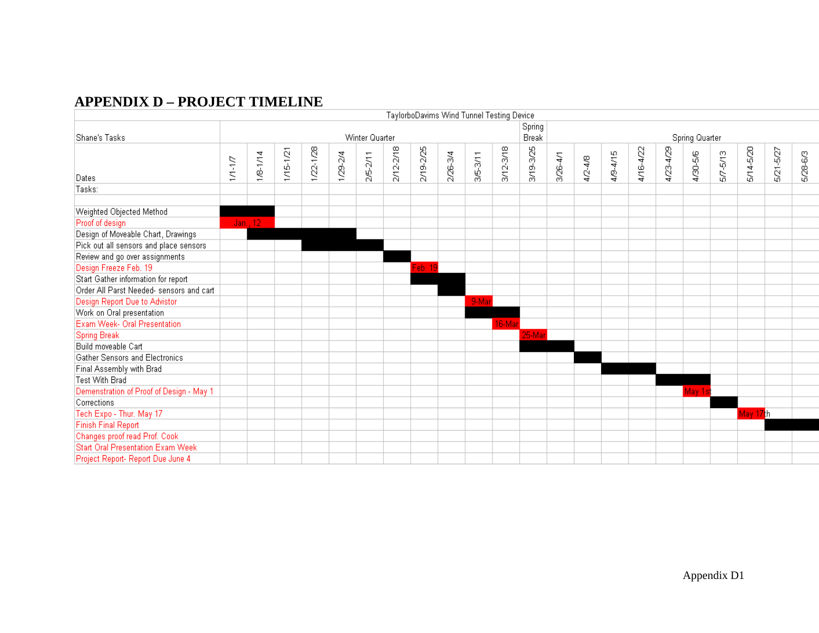# **APPENDIX D – PROJECT TIMELINE**

|                                          |          |              |               |               |          |                |           |           |          | TaylorboDavims Wind Tunnel Testing Device |               |                 |              |             |          |           |           |                |              |           |           |          |
|------------------------------------------|----------|--------------|---------------|---------------|----------|----------------|-----------|-----------|----------|-------------------------------------------|---------------|-----------------|--------------|-------------|----------|-----------|-----------|----------------|--------------|-----------|-----------|----------|
| Shane's Tasks                            |          |              |               |               |          | Winter Quarter |           |           |          |                                           |               | Spring<br>Break |              |             |          |           |           | Spring Quarter |              |           |           |          |
|                                          | $1/14/7$ | $1/8 - 1/14$ | $1/15 - 1/21$ | $1/22 - 1/28$ | 1/29-2/4 | $2/5 - 2/11$   | 2/12-2/18 | 2/19-2/25 | 2/26-3/4 | 3/5-3/11                                  | $3/12 - 3/18$ | 3/19-3/25       | $3/26 - 4/1$ | $4/2 - 4/8$ | 4/9-4/15 | 4/16-4/22 | 4/23-4/29 | 4/30-5/6       | $5/7 - 5/13$ | 5/14-5/20 | 5/21-5/27 | 5/28-6/3 |
| Dates                                    |          |              |               |               |          |                |           |           |          |                                           |               |                 |              |             |          |           |           |                |              |           |           |          |
| Tasks:                                   |          |              |               |               |          |                |           |           |          |                                           |               |                 |              |             |          |           |           |                |              |           |           |          |
| Weighted Objected Method                 |          |              |               |               |          |                |           |           |          |                                           |               |                 |              |             |          |           |           |                |              |           |           |          |
| Proof of design                          |          | Jan., 12     |               |               |          |                |           |           |          |                                           |               |                 |              |             |          |           |           |                |              |           |           |          |
| Design of Moveable Chart, Drawings       |          |              |               |               |          |                |           |           |          |                                           |               |                 |              |             |          |           |           |                |              |           |           |          |
| Pick out all sensors and place sensors   |          |              |               |               |          |                |           |           |          |                                           |               |                 |              |             |          |           |           |                |              |           |           |          |
| Review and go over assignments           |          |              |               |               |          |                |           |           |          |                                           |               |                 |              |             |          |           |           |                |              |           |           |          |
| Design Freeze Feb. 19                    |          |              |               |               |          |                |           | Feb. 19   |          |                                           |               |                 |              |             |          |           |           |                |              |           |           |          |
| Start Gather information for report      |          |              |               |               |          |                |           |           |          |                                           |               |                 |              |             |          |           |           |                |              |           |           |          |
| Order All Parst Needed- sensors and cart |          |              |               |               |          |                |           |           |          |                                           |               |                 |              |             |          |           |           |                |              |           |           |          |
| Design Report Due to Advistor            |          |              |               |               |          |                |           |           |          | 9-Mar                                     |               |                 |              |             |          |           |           |                |              |           |           |          |
| Work on Oral presentation                |          |              |               |               |          |                |           |           |          |                                           |               |                 |              |             |          |           |           |                |              |           |           |          |
| Exam Week- Oral Presentation             |          |              |               |               |          |                |           |           |          |                                           | 16-Mar        |                 |              |             |          |           |           |                |              |           |           |          |
| <b>Spring Break</b>                      |          |              |               |               |          |                |           |           |          |                                           |               | 25-Mar          |              |             |          |           |           |                |              |           |           |          |
| Build moveable Cart                      |          |              |               |               |          |                |           |           |          |                                           |               |                 |              |             |          |           |           |                |              |           |           |          |
| Gather Sensors and Electronics           |          |              |               |               |          |                |           |           |          |                                           |               |                 |              |             |          |           |           |                |              |           |           |          |
| Final Assembly with Brad                 |          |              |               |               |          |                |           |           |          |                                           |               |                 |              |             |          |           |           |                |              |           |           |          |
| Test With Brad                           |          |              |               |               |          |                |           |           |          |                                           |               |                 |              |             |          |           |           |                |              |           |           |          |
| Demenstration of Proof of Design - May 1 |          |              |               |               |          |                |           |           |          |                                           |               |                 |              |             |          |           |           | May 1st        |              |           |           |          |
| Corrections                              |          |              |               |               |          |                |           |           |          |                                           |               |                 |              |             |          |           |           |                |              |           |           |          |
| Tech Expo - Thur. May 17                 |          |              |               |               |          |                |           |           |          |                                           |               |                 |              |             |          |           |           |                |              | May 17th  |           |          |
| <b>Finish Final Report</b>               |          |              |               |               |          |                |           |           |          |                                           |               |                 |              |             |          |           |           |                |              |           |           |          |
| Changes proof read Prof. Cook            |          |              |               |               |          |                |           |           |          |                                           |               |                 |              |             |          |           |           |                |              |           |           |          |
| <b>Start Oral Presentation Exam Week</b> |          |              |               |               |          |                |           |           |          |                                           |               |                 |              |             |          |           |           |                |              |           |           |          |
| Project Report- Report Due June 4        |          |              |               |               |          |                |           |           |          |                                           |               |                 |              |             |          |           |           |                |              |           |           |          |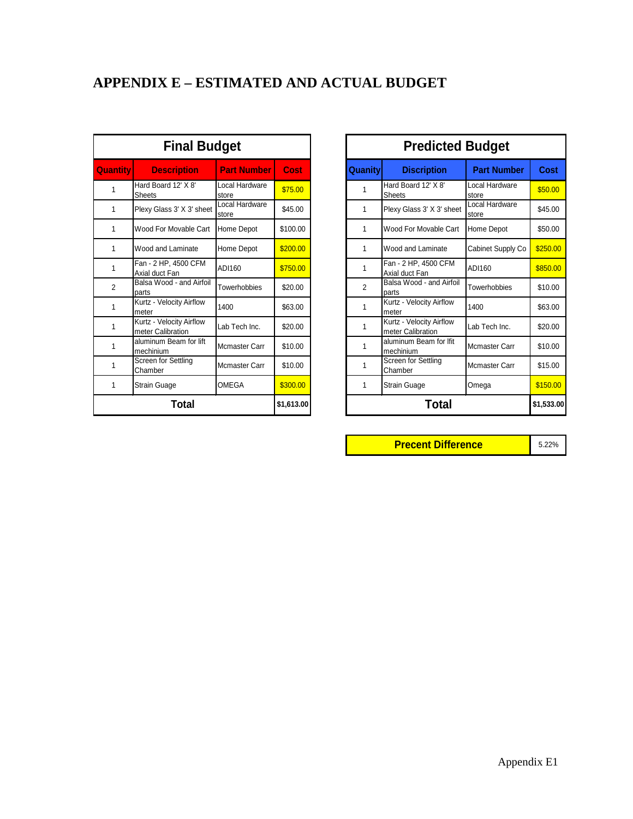# **APPENDIX E – ESTIMATED AND ACTUAL BUDGET**

| <b>Quantity</b> | <b>Description</b>                            | <b>Part Number</b>      | Cost     | Quanity        |
|-----------------|-----------------------------------------------|-------------------------|----------|----------------|
| 1               | Hard Board 12' X 8'<br><b>Sheets</b>          | Local Hardware<br>store | \$75.00  | 1              |
| 1               | Plexy Glass 3' X 3' sheet                     | Local Hardware<br>store | \$45.00  | 1              |
| 1               | Wood For Movable Cart                         | Home Depot              | \$100.00 | 1              |
| 1               | Wood and Laminate                             | Home Depot              | \$200.00 | 1              |
| 1               | Fan - 2 HP, 4500 CFM<br>Axial duct Fan        | ADI160                  | \$750.00 | 1              |
| $\overline{2}$  | Balsa Wood - and Airfoil<br>parts             | Towerhobbies            | \$20.00  | $\mathfrak{p}$ |
| 1               | Kurtz - Velocity Airflow<br>meter             | 1400                    | \$63.00  | 1              |
| 1               | Kurtz - Velocity Airflow<br>meter Calibration | Lab Tech Inc.           | \$20.00  | 1              |
| 1               | aluminum Beam for lift<br>mechinium           | Mcmaster Carr           | \$10.00  | 1              |
| 1               | Screen for Settling<br>Chamber                | Mcmaster Carr           | \$10.00  | 1              |
| 1               | Strain Guage                                  | OMEGA                   | \$300.00 | 1              |
|                 |                                               |                         |          |                |

|                 | <b>Final Budget</b>                           |                         |             |                | <b>Predicted Budget</b>                       |                         |             |
|-----------------|-----------------------------------------------|-------------------------|-------------|----------------|-----------------------------------------------|-------------------------|-------------|
| <b>Quantity</b> | <b>Description</b>                            | <b>Part Number</b>      | <b>Cost</b> | <b>Quanity</b> | <b>Discription</b>                            | <b>Part Number</b>      | <b>Cost</b> |
| 1               | Hard Board 12' X 8'<br>Sheets                 | Local Hardware<br>store | \$75.00     | 1              | Hard Board 12' X 8'<br>Sheets                 | Local Hardware<br>store | \$50.00     |
| 1               | Plexy Glass 3' X 3' sheet                     | Local Hardware<br>store | \$45.00     | 1              | Plexy Glass 3' X 3' sheet                     | Local Hardware<br>store | \$45.00     |
| 1               | Wood For Movable Cart                         | Home Depot              | \$100.00    | 1              | Wood For Movable Cart                         | Home Depot              | \$50.00     |
| 1               | Wood and Laminate                             | Home Depot              | \$200.00    | 1              | Wood and Laminate                             | Cabinet Supply Co       | \$250.00    |
| 1               | Fan - 2 HP, 4500 CFM<br>Axial duct Fan        | ADI160                  | \$750.00    | $\mathbf{1}$   | Fan - 2 HP, 4500 CFM<br>Axial duct Fan        | ADI160                  | \$850.00    |
| $\overline{2}$  | Balsa Wood - and Airfoil<br>parts             | Towerhobbies            | \$20.00     | $\overline{2}$ | Balsa Wood - and Airfoil<br>parts             | Towerhobbies            | \$10.00     |
| 1               | Kurtz - Velocity Airflow<br>meter             | 1400                    | \$63.00     | $\mathbf{1}$   | Kurtz - Velocity Airflow<br>meter             | 1400                    | \$63.00     |
| 1               | Kurtz - Velocity Airflow<br>meter Calibration | Lab Tech Inc.           | \$20.00     | 1              | Kurtz - Velocity Airflow<br>meter Calibration | Lab Tech Inc.           | \$20.00     |
| 1               | aluminum Beam for lift<br>mechinium           | Mcmaster Carr           | \$10.00     | 1              | aluminum Beam for Ifit<br>mechinium           | <b>Mcmaster Carr</b>    | \$10.00     |
| 1               | Screen for Settling<br>Chamber                | <b>Mcmaster Carr</b>    | \$10.00     | 1              | Screen for Settling<br>Chamber                | <b>Mcmaster Carr</b>    | \$15.00     |
| 1               | <b>Strain Guage</b>                           | <b>OMEGA</b>            | \$300.00    | 1              | <b>Strain Guage</b>                           | Omega                   | \$150.00    |
|                 | Total                                         |                         | \$1,613.00  |                | Total                                         |                         | \$1,533.00  |

**Precent Difference** 5.22%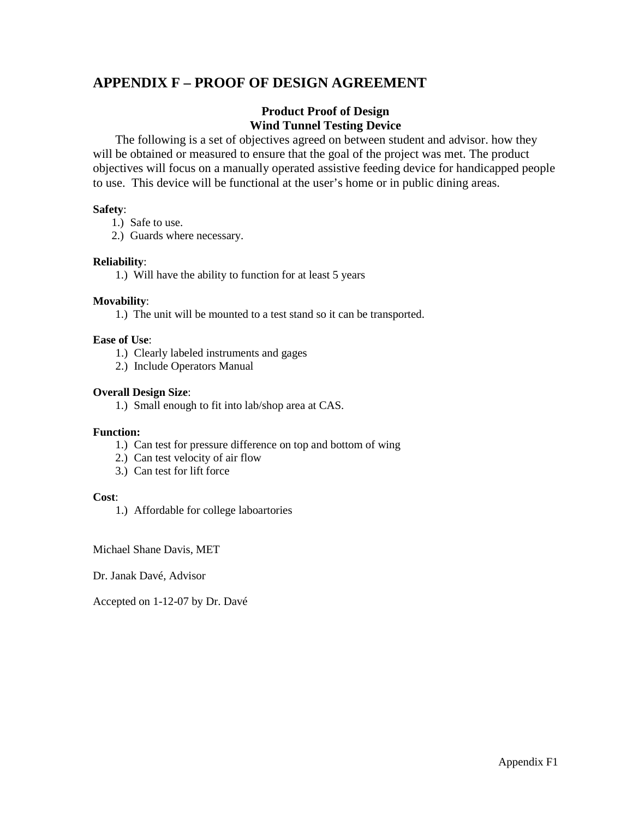### **APPENDIX F – PROOF OF DESIGN AGREEMENT**

#### **Product Proof of Design Wind Tunnel Testing Device**

The following is a set of objectives agreed on between student and advisor. how they will be obtained or measured to ensure that the goal of the project was met. The product objectives will focus on a manually operated assistive feeding device for handicapped people to use. This device will be functional at the user's home or in public dining areas.

#### **Safety**:

- 1.) Safe to use.
- 2.) Guards where necessary.

#### **Reliability**:

1.) Will have the ability to function for at least 5 years

#### **Movability**:

1.) The unit will be mounted to a test stand so it can be transported.

#### **Ease of Use**:

- 1.) Clearly labeled instruments and gages
- 2.) Include Operators Manual

#### **Overall Design Size**:

1.) Small enough to fit into lab/shop area at CAS.

#### **Function:**

- 1.) Can test for pressure difference on top and bottom of wing
- 2.) Can test velocity of air flow
- 3.) Can test for lift force

#### **Cost**:

1.) Affordable for college laboartories

Michael Shane Davis, MET

Dr. Janak Davé, Advisor

Accepted on 1-12-07 by Dr. Davé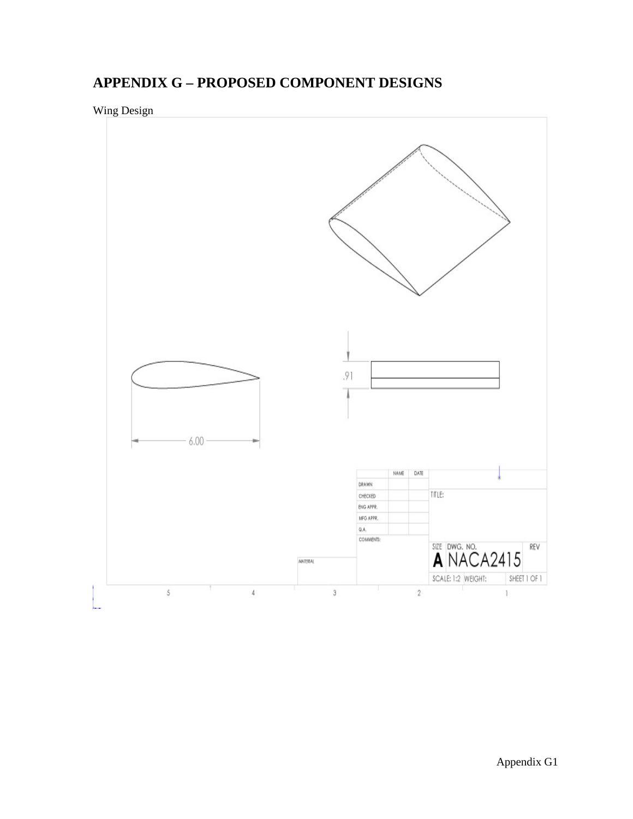# **APPENDIX G – PROPOSED COMPONENT DESIGNS**

Wing Design

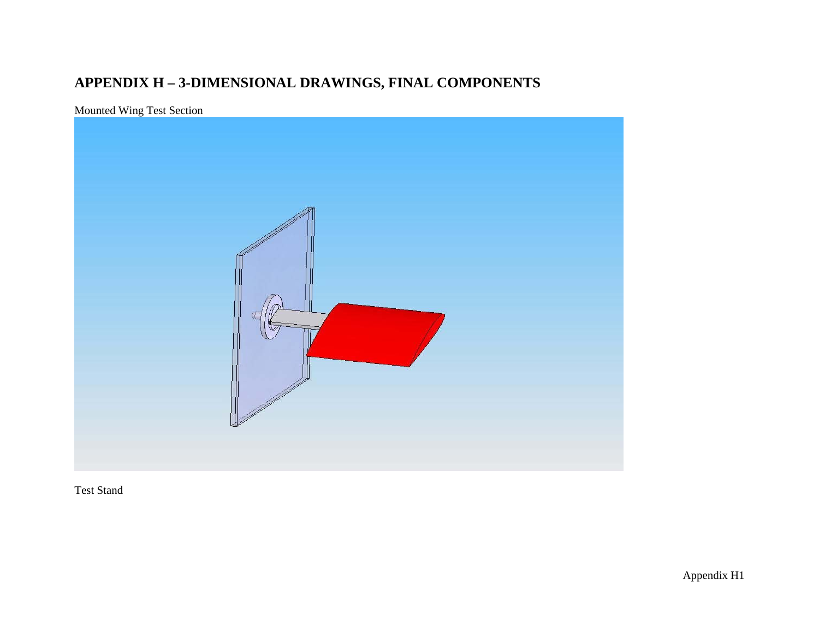# **APPENDIX H – 3-DIMENSIONAL DRAWINGS, FINAL COMPONENTS**

# Mounted Wing Test Section



Test Stand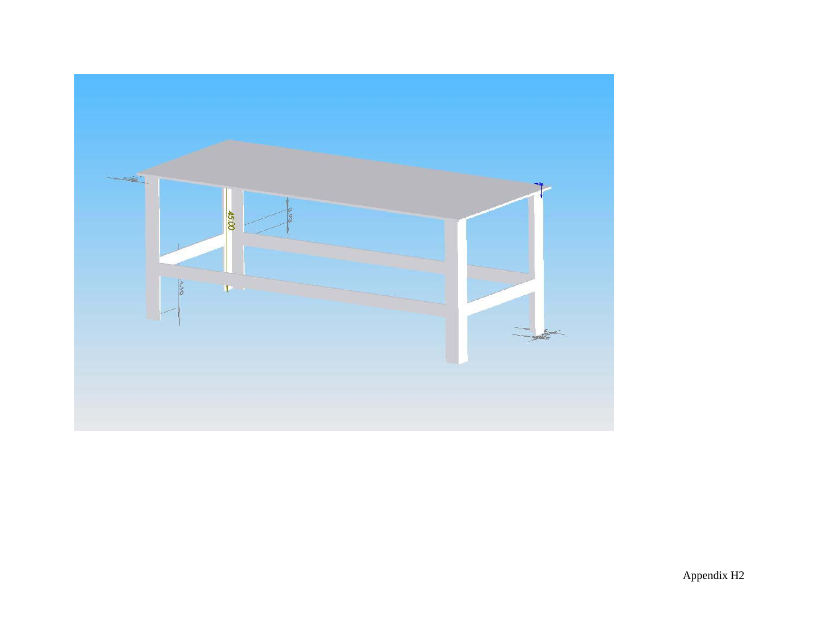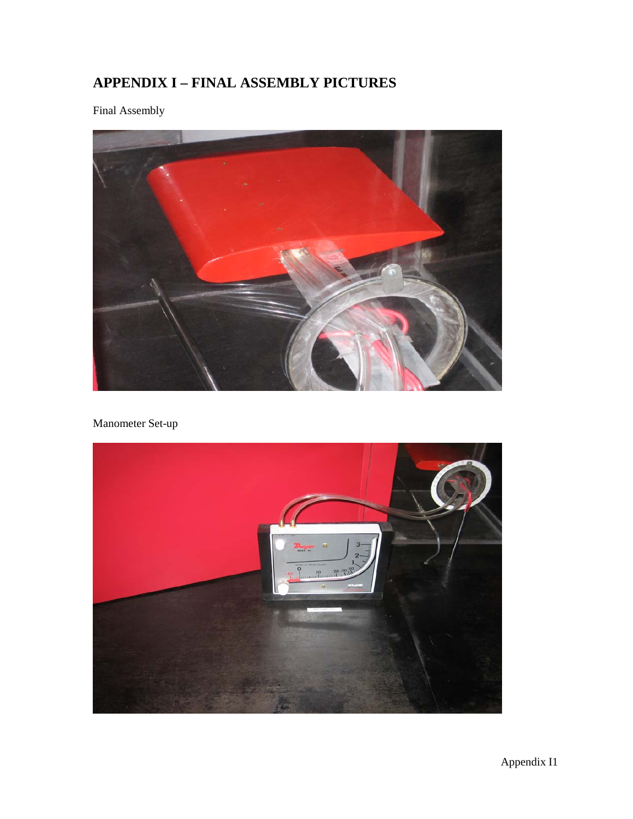# **APPENDIX I – FINAL ASSEMBLY PICTURES**

Final Assembly



Manometer Set-up